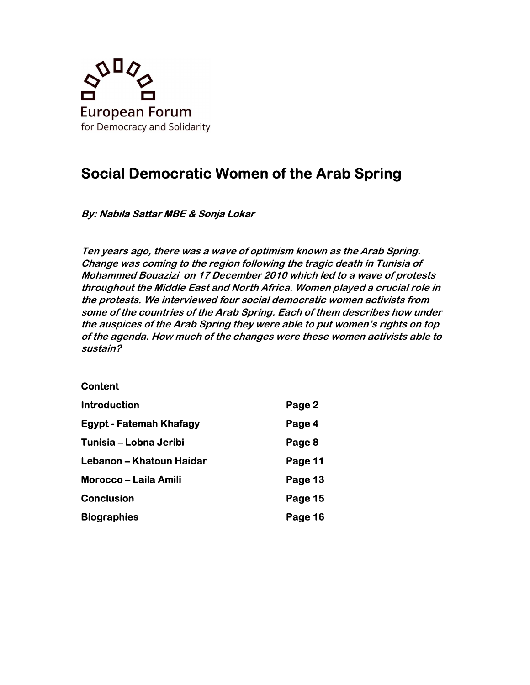

# Social Democratic Women of the Arab Spring

# By: Nabila Sattar MBE & Sonja Lokar

Ten years ago, there was a wave of optimism known as the Arab Spring. Change was coming to the region following the tragic death in Tunisia of Mohammed Bouazizi on 17 December 2010 which led to a wave of protests throughout the Middle East and North Africa. Women played a crucial role in the protests. We interviewed four social democratic women activists from some of the countries of the Arab Spring. Each of them describes how under the auspices of the Arab Spring they were able to put women's rights on top of the agenda. How much of the changes were these women activists able to sustain?

#### **Content**

| <b>Introduction</b>            | Page 2  |
|--------------------------------|---------|
| <b>Egypt - Fatemah Khafagy</b> | Page 4  |
| Tunisia – Lobna Jeribi         | Page 8  |
| Lebanon - Khatoun Haidar       | Page 11 |
| <b>Morocco – Laila Amili</b>   | Page 13 |
| <b>Conclusion</b>              | Page 15 |
| <b>Biographies</b>             | Page 16 |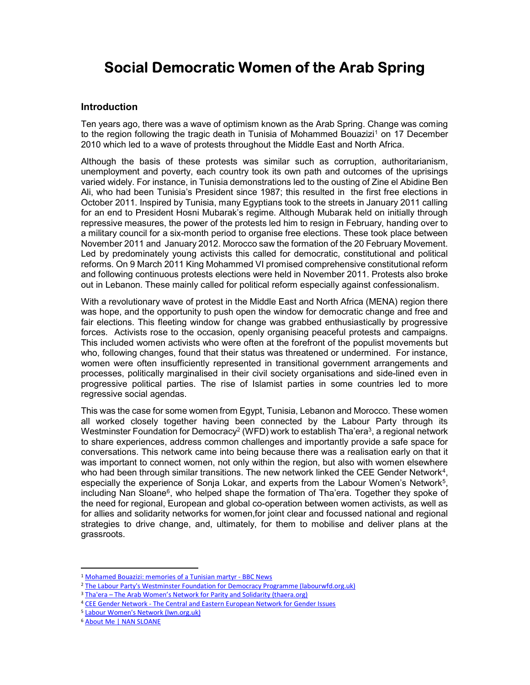# Social Democratic Women of the Arab Spring

#### Introduction

Ten years ago, there was a wave of optimism known as the Arab Spring. Change was coming to the region following the tragic death in Tunisia of Mohammed Bouazizi<sup>1</sup> on 17 December 2010 which led to a wave of protests throughout the Middle East and North Africa.

Although the basis of these protests was similar such as corruption, authoritarianism, unemployment and poverty, each country took its own path and outcomes of the uprisings varied widely. For instance, in Tunisia demonstrations led to the ousting of Zine el Abidine Ben Ali, who had been Tunisia's President since 1987; this resulted in the first free elections in October 2011. Inspired by Tunisia, many Egyptians took to the streets in January 2011 calling for an end to President Hosni Mubarak's regime. Although Mubarak held on initially through repressive measures, the power of the protests led him to resign in February, handing over to a military council for a six-month period to organise free elections. These took place between November 2011 and January 2012. Morocco saw the formation of the 20 February Movement. Led by predominately young activists this called for democratic, constitutional and political reforms. On 9 March 2011 King Mohammed VI promised comprehensive constitutional reform and following continuous protests elections were held in November 2011. Protests also broke out in Lebanon. These mainly called for political reform especially against confessionalism.

With a revolutionary wave of protest in the Middle East and North Africa (MENA) region there was hope, and the opportunity to push open the window for democratic change and free and fair elections. This fleeting window for change was grabbed enthusiastically by progressive forces. Activists rose to the occasion, openly organising peaceful protests and campaigns. This included women activists who were often at the forefront of the populist movements but who, following changes, found that their status was threatened or undermined. For instance, women were often insufficiently represented in transitional government arrangements and processes, politically marginalised in their civil society organisations and side-lined even in progressive political parties. The rise of Islamist parties in some countries led to more regressive social agendas.

This was the case for some women from Egypt, Tunisia, Lebanon and Morocco. These women all worked closely together having been connected by the Labour Party through its Westminster Foundation for Democracy $^2$  (WFD) work to establish Tha'era $^3\!$ , a regional network  $^2$ to share experiences, address common challenges and importantly provide a safe space for conversations. This network came into being because there was a realisation early on that it was important to connect women, not only within the region, but also with women elsewhere who had been through similar transitions. The new network linked the CEE Gender Network<sup>4</sup>, especially the experience of Sonja Lokar, and experts from the Labour Women's Network<sup>5</sup>, including Nan Sloane $^6$ , who helped shape the formation of Tha'era. Together they spoke of the need for regional, European and global co-operation between women activists, as well as for allies and solidarity networks for women,for joint clear and focussed national and regional strategies to drive change, and, ultimately, for them to mobilise and deliver plans at the grassroots.

<sup>1</sup> Mohamed Bouazizi: memories of a Tunisian martyr - BBC News

<sup>&</sup>lt;sup>2</sup> The Labour Party's Westminster Foundation for Democracy Programme (labourwfd.org.uk)

<sup>&</sup>lt;sup>3</sup> Tha'era – The Arab Women's Network for Parity and Solidarity (thaera.org)

<sup>&</sup>lt;sup>4</sup> CEE Gender Network - The Central and Eastern European Network for Gender Issues

<sup>5</sup> Labour Women's Network (lwn.org.uk)

<sup>6</sup> About Me | NAN SLOANE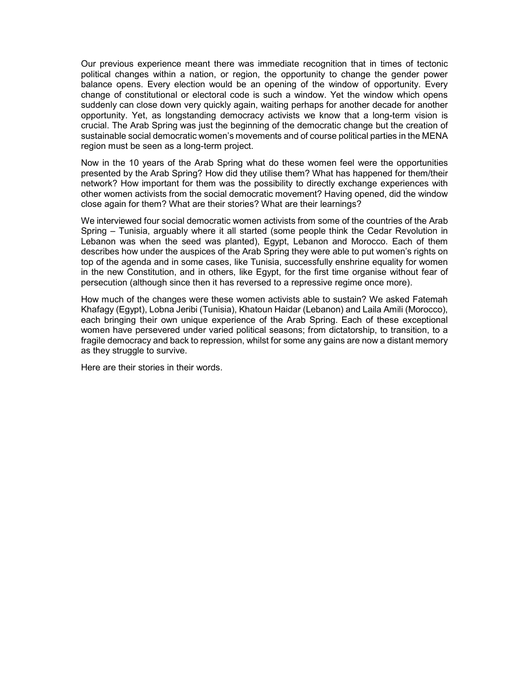Our previous experience meant there was immediate recognition that in times of tectonic political changes within a nation, or region, the opportunity to change the gender power balance opens. Every election would be an opening of the window of opportunity. Every change of constitutional or electoral code is such a window. Yet the window which opens suddenly can close down very quickly again, waiting perhaps for another decade for another opportunity. Yet, as longstanding democracy activists we know that a long-term vision is crucial. The Arab Spring was just the beginning of the democratic change but the creation of sustainable social democratic women's movements and of course political parties in the MENA region must be seen as a long-term project.

Now in the 10 years of the Arab Spring what do these women feel were the opportunities presented by the Arab Spring? How did they utilise them? What has happened for them/their network? How important for them was the possibility to directly exchange experiences with other women activists from the social democratic movement? Having opened, did the window close again for them? What are their stories? What are their learnings?

We interviewed four social democratic women activists from some of the countries of the Arab Spring – Tunisia, arguably where it all started (some people think the Cedar Revolution in Lebanon was when the seed was planted), Egypt, Lebanon and Morocco. Each of them describes how under the auspices of the Arab Spring they were able to put women's rights on top of the agenda and in some cases, like Tunisia, successfully enshrine equality for women in the new Constitution, and in others, like Egypt, for the first time organise without fear of persecution (although since then it has reversed to a repressive regime once more).

How much of the changes were these women activists able to sustain? We asked Fatemah Khafagy (Egypt), Lobna Jeribi (Tunisia), Khatoun Haidar (Lebanon) and Laila Amili (Morocco), each bringing their own unique experience of the Arab Spring. Each of these exceptional women have persevered under varied political seasons; from dictatorship, to transition, to a fragile democracy and back to repression, whilst for some any gains are now a distant memory as they struggle to survive.

Here are their stories in their words.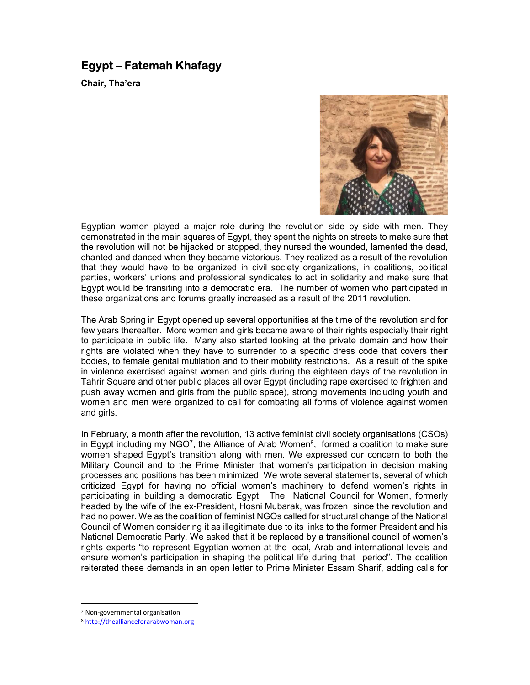# Egypt – Fatemah Khafagy

Chair, Tha'era



Egyptian women played a major role during the revolution side by side with men. They demonstrated in the main squares of Egypt, they spent the nights on streets to make sure that the revolution will not be hijacked or stopped, they nursed the wounded, lamented the dead, chanted and danced when they became victorious. They realized as a result of the revolution that they would have to be organized in civil society organizations, in coalitions, political parties, workers' unions and professional syndicates to act in solidarity and make sure that Egypt would be transiting into a democratic era. The number of women who participated in these organizations and forums greatly increased as a result of the 2011 revolution.

The Arab Spring in Egypt opened up several opportunities at the time of the revolution and for few years thereafter. More women and girls became aware of their rights especially their right to participate in public life. Many also started looking at the private domain and how their rights are violated when they have to surrender to a specific dress code that covers their bodies, to female genital mutilation and to their mobility restrictions. As a result of the spike in violence exercised against women and girls during the eighteen days of the revolution in Tahrir Square and other public places all over Egypt (including rape exercised to frighten and push away women and girls from the public space), strong movements including youth and women and men were organized to call for combating all forms of violence against women and girls.

In February, a month after the revolution, 13 active feminist civil society organisations (CSOs) in Egypt including my NGO<sup>7</sup>, the Alliance of Arab Women $^8$ , formed a coalition to make sure women shaped Egypt's transition along with men. We expressed our concern to both the Military Council and to the Prime Minister that women's participation in decision making processes and positions has been minimized. We wrote several statements, several of which criticized Egypt for having no official women's machinery to defend women's rights in participating in building a democratic Egypt. The National Council for Women, formerly headed by the wife of the ex-President, Hosni Mubarak, was frozen since the revolution and had no power. We as the coalition of feminist NGOs called for structural change of the National Council of Women considering it as illegitimate due to its links to the former President and his National Democratic Party. We asked that it be replaced by a transitional council of women's rights experts "to represent Egyptian women at the local, Arab and international levels and ensure women's participation in shaping the political life during that period". The coalition reiterated these demands in an open letter to Prime Minister Essam Sharif, adding calls for

<sup>7</sup> Non-governmental organisation

<sup>8</sup> http://theallianceforarabwoman.org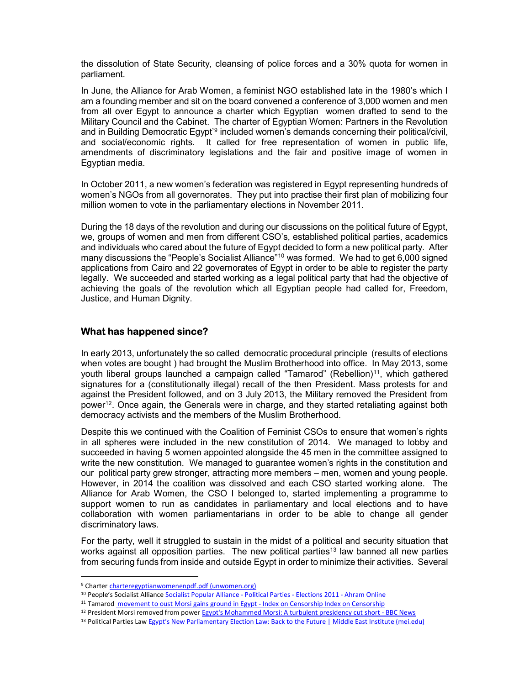the dissolution of State Security, cleansing of police forces and a 30% quota for women in parliament.

In June, the Alliance for Arab Women, a feminist NGO established late in the 1980's which I am a founding member and sit on the board convened a conference of 3,000 women and men from all over Egypt to announce a charter which Egyptian women drafted to send to the Military Council and the Cabinet. The charter of Egyptian Women: Partners in the Revolution and in Building Democratic Egypt'<sup>9</sup> included women's demands concerning their political/civil, and social/economic rights. It called for free representation of women in public life, amendments of discriminatory legislations and the fair and positive image of women in Egyptian media.

In October 2011, a new women's federation was registered in Egypt representing hundreds of women's NGOs from all governorates. They put into practise their first plan of mobilizing four million women to vote in the parliamentary elections in November 2011.

During the 18 days of the revolution and during our discussions on the political future of Egypt, we, groups of women and men from different CSO's, established political parties, academics and individuals who cared about the future of Egypt decided to form a new political party. After many discussions the "People's Socialist Alliance"<sup>10</sup> was formed. We had to get 6,000 signed applications from Cairo and 22 governorates of Egypt in order to be able to register the party legally. We succeeded and started working as a legal political party that had the objective of achieving the goals of the revolution which all Egyptian people had called for, Freedom, Justice, and Human Dignity.

# What has happened since?

In early 2013, unfortunately the so called democratic procedural principle (results of elections when votes are bought ) had brought the Muslim Brotherhood into office. In May 2013, some youth liberal groups launched a campaign called "Tamarod" (Rebellion)<sup>11</sup>, which gathered signatures for a (constitutionally illegal) recall of the then President. Mass protests for and against the President followed, and on 3 July 2013, the Military removed the President from power<sup>12</sup>. Once again, the Generals were in charge, and they started retaliating against both democracy activists and the members of the Muslim Brotherhood.

Despite this we continued with the Coalition of Feminist CSOs to ensure that women's rights in all spheres were included in the new constitution of 2014. We managed to lobby and succeeded in having 5 women appointed alongside the 45 men in the committee assigned to write the new constitution. We managed to guarantee women's rights in the constitution and our political party grew stronger, attracting more members – men, women and young people. However, in 2014 the coalition was dissolved and each CSO started working alone. The Alliance for Arab Women, the CSO I belonged to, started implementing a programme to support women to run as candidates in parliamentary and local elections and to have collaboration with women parliamentarians in order to be able to change all gender discriminatory laws.

For the party, well it struggled to sustain in the midst of a political and security situation that works against all opposition parties. The new political parties<sup>13</sup> law banned all new parties from securing funds from inside and outside Egypt in order to minimize their activities. Several

<sup>&</sup>lt;sup>9</sup> Charter charteregyptianwomenenpdf.pdf (unwomen.org)

<sup>10</sup> People's Socialist Alliance Socialist Popular Alliance - Political Parties - Elections 2011 - Ahram Online

<sup>&</sup>lt;sup>11</sup> Tamarod movement to oust Morsi gains ground in Egypt - Index on Censorship Index on Censorship

<sup>&</sup>lt;sup>12</sup> President Morsi removed from power Egypt's Mohammed Morsi: A turbulent presidency cut short - BBC News

<sup>13</sup> Political Parties Law Egypt's New Parliamentary Election Law: Back to the Future | Middle East Institute (mei.edu)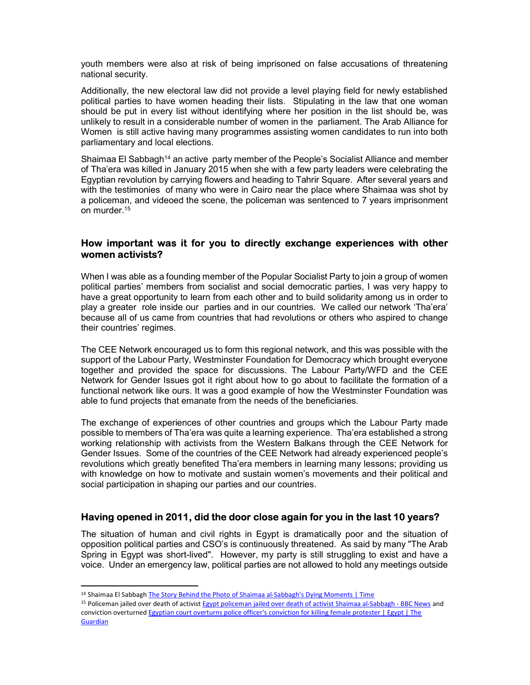youth members were also at risk of being imprisoned on false accusations of threatening national security.

Additionally, the new electoral law did not provide a level playing field for newly established political parties to have women heading their lists. Stipulating in the law that one woman should be put in every list without identifying where her position in the list should be, was unlikely to result in a considerable number of women in the parliament. The Arab Alliance for Women is still active having many programmes assisting women candidates to run into both parliamentary and local elections.

Shaimaa El Sabbagh<sup>14</sup> an active party member of the People's Socialist Alliance and member of Tha'era was killed in January 2015 when she with a few party leaders were celebrating the Egyptian revolution by carrying flowers and heading to Tahrir Square. After several years and with the testimonies of many who were in Cairo near the place where Shaimaa was shot by a policeman, and videoed the scene, the policeman was sentenced to 7 years imprisonment on murder.<sup>15</sup>

#### How important was it for you to directly exchange experiences with other women activists?

When I was able as a founding member of the Popular Socialist Party to join a group of women political parties' members from socialist and social democratic parties, I was very happy to have a great opportunity to learn from each other and to build solidarity among us in order to play a greater role inside our parties and in our countries. We called our network 'Tha'era' because all of us came from countries that had revolutions or others who aspired to change their countries' regimes.

The CEE Network encouraged us to form this regional network, and this was possible with the support of the Labour Party, Westminster Foundation for Democracy which brought everyone together and provided the space for discussions. The Labour Party/WFD and the CEE Network for Gender Issues got it right about how to go about to facilitate the formation of a functional network like ours. It was a good example of how the Westminster Foundation was able to fund projects that emanate from the needs of the beneficiaries.

The exchange of experiences of other countries and groups which the Labour Party made possible to members of Tha'era was quite a learning experience. Tha'era established a strong working relationship with activists from the Western Balkans through the CEE Network for Gender Issues. Some of the countries of the CEE Network had already experienced people's revolutions which greatly benefited Tha'era members in learning many lessons; providing us with knowledge on how to motivate and sustain women's movements and their political and social participation in shaping our parties and our countries.

# Having opened in 2011, did the door close again for you in the last 10 years?

The situation of human and civil rights in Egypt is dramatically poor and the situation of opposition political parties and CSO's is continuously threatened. As said by many "The Arab Spring in Egypt was short-lived". However, my party is still struggling to exist and have a voice. Under an emergency law, political parties are not allowed to hold any meetings outside

1

<sup>15</sup> Policeman jailed over death of activist Egypt policeman jailed over death of activist Shaimaa al-Sabbagh - BBC News and conviction overturned Egyptian court overturns police officer's conviction for killing female protester | Egypt | The **Guardian** 

<sup>&</sup>lt;sup>14</sup> Shaimaa El Sabbagh The Story Behind the Photo of Shaimaa al-Sabbagh's Dying Moments | Time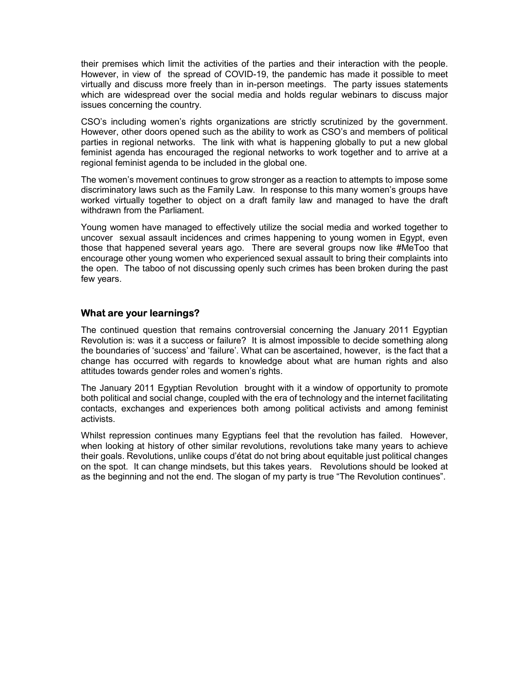their premises which limit the activities of the parties and their interaction with the people. However, in view of the spread of COVID-19, the pandemic has made it possible to meet virtually and discuss more freely than in in-person meetings. The party issues statements which are widespread over the social media and holds regular webinars to discuss major issues concerning the country.

CSO's including women's rights organizations are strictly scrutinized by the government. However, other doors opened such as the ability to work as CSO's and members of political parties in regional networks. The link with what is happening globally to put a new global feminist agenda has encouraged the regional networks to work together and to arrive at a regional feminist agenda to be included in the global one.

The women's movement continues to grow stronger as a reaction to attempts to impose some discriminatory laws such as the Family Law. In response to this many women's groups have worked virtually together to object on a draft family law and managed to have the draft withdrawn from the Parliament.

Young women have managed to effectively utilize the social media and worked together to uncover sexual assault incidences and crimes happening to young women in Egypt, even those that happened several years ago. There are several groups now like #MeToo that encourage other young women who experienced sexual assault to bring their complaints into the open. The taboo of not discussing openly such crimes has been broken during the past few years.

# What are your learnings?

The continued question that remains controversial concerning the January 2011 Egyptian Revolution is: was it a success or failure? It is almost impossible to decide something along the boundaries of 'success' and 'failure'. What can be ascertained, however, is the fact that a change has occurred with regards to knowledge about what are human rights and also attitudes towards gender roles and women's rights.

The January 2011 Egyptian Revolution brought with it a window of opportunity to promote both political and social change, coupled with the era of technology and the internet facilitating contacts, exchanges and experiences both among political activists and among feminist activists.

Whilst repression continues many Egyptians feel that the revolution has failed. However, when looking at history of other similar revolutions, revolutions take many years to achieve their goals. Revolutions, unlike coups d'état do not bring about equitable just political changes on the spot. It can change mindsets, but this takes years. Revolutions should be looked at as the beginning and not the end. The slogan of my party is true "The Revolution continues".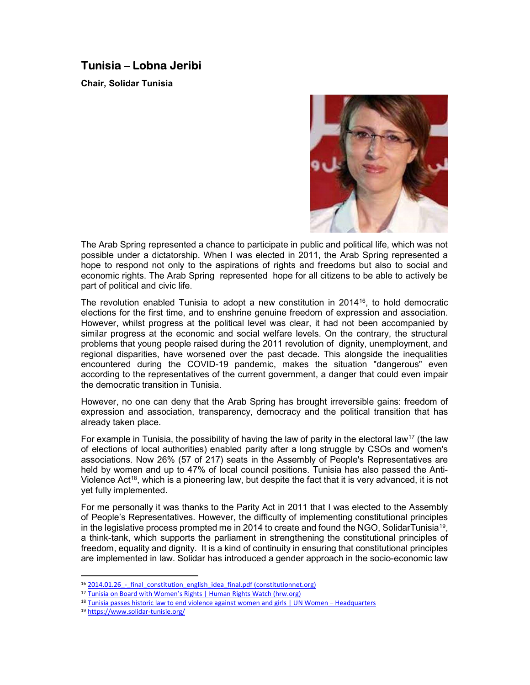# Tunisia – Lobna Jeribi

Chair, Solidar Tunisia



The Arab Spring represented a chance to participate in public and political life, which was not possible under a dictatorship. When I was elected in 2011, the Arab Spring represented a hope to respond not only to the aspirations of rights and freedoms but also to social and economic rights. The Arab Spring represented hope for all citizens to be able to actively be part of political and civic life.

The revolution enabled Tunisia to adopt a new constitution in 2014<sup>16</sup>, to hold democratic elections for the first time, and to enshrine genuine freedom of expression and association. However, whilst progress at the political level was clear, it had not been accompanied by similar progress at the economic and social welfare levels. On the contrary, the structural problems that young people raised during the 2011 revolution of dignity, unemployment, and regional disparities, have worsened over the past decade. This alongside the inequalities encountered during the COVID-19 pandemic, makes the situation "dangerous" even according to the representatives of the current government, a danger that could even impair the democratic transition in Tunisia.

However, no one can deny that the Arab Spring has brought irreversible gains: freedom of expression and association, transparency, democracy and the political transition that has already taken place.

For example in Tunisia, the possibility of having the law of parity in the electoral law<sup>17</sup> (the law of elections of local authorities) enabled parity after a long struggle by CSOs and women's associations. Now 26% (57 of 217) seats in the Assembly of People's Representatives are held by women and up to 47% of local council positions. Tunisia has also passed the Anti-Violence Act<sup>18</sup>, which is a pioneering law, but despite the fact that it is very advanced, it is not yet fully implemented.

For me personally it was thanks to the Parity Act in 2011 that I was elected to the Assembly of People's Representatives. However, the difficulty of implementing constitutional principles in the legislative process prompted me in 2014 to create and found the NGO, SolidarTunisia<sup>19</sup>, a think-tank, which supports the parliament in strengthening the constitutional principles of freedom, equality and dignity. It is a kind of continuity in ensuring that constitutional principles are implemented in law. Solidar has introduced a gender approach in the socio-economic law

<sup>19</sup> https://www.solidar-tunisie.org/

<sup>&</sup>lt;sup>16</sup> 2014.01.26 - final constitution english idea final.pdf (constitutionnet.org)

<sup>&</sup>lt;sup>17</sup> Tunisia on Board with Women's Rights | Human Rights Watch (hrw.org)

<sup>&</sup>lt;sup>18</sup> Tunisia passes historic law to end violence against women and girls | UN Women – Headquarters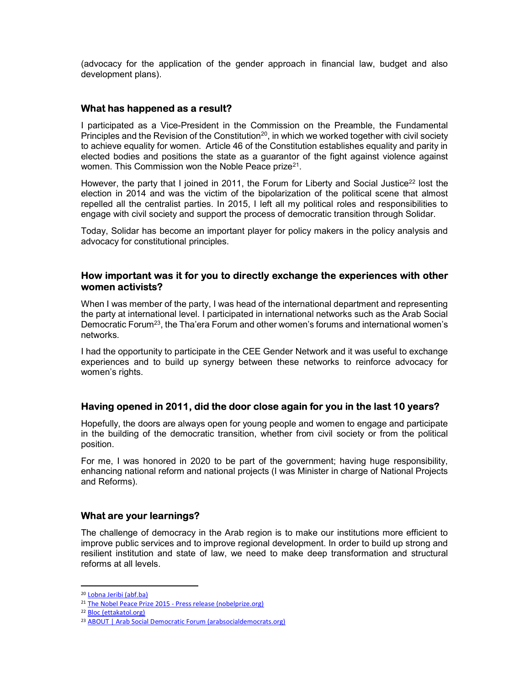(advocacy for the application of the gender approach in financial law, budget and also development plans).

#### What has happened as a result?

I participated as a Vice-President in the Commission on the Preamble, the Fundamental Principles and the Revision of the Constitution<sup>20</sup>, in which we worked together with civil society to achieve equality for women. Article 46 of the Constitution establishes equality and parity in elected bodies and positions the state as a guarantor of the fight against violence against women. This Commission won the Noble Peace prize<sup>21</sup>.

However, the party that I joined in 2011, the Forum for Liberty and Social Justice<sup>22</sup> lost the election in 2014 and was the victim of the bipolarization of the political scene that almost repelled all the centralist parties. In 2015, I left all my political roles and responsibilities to engage with civil society and support the process of democratic transition through Solidar.

Today, Solidar has become an important player for policy makers in the policy analysis and advocacy for constitutional principles.

#### How important was it for you to directly exchange the experiences with other women activists?

When I was member of the party, I was head of the international department and representing the party at international level. I participated in international networks such as the Arab Social Democratic Forum<sup>23</sup>, the Tha'era Forum and other women's forums and international women's networks.

I had the opportunity to participate in the CEE Gender Network and it was useful to exchange experiences and to build up synergy between these networks to reinforce advocacy for women's rights.

# Having opened in 2011, did the door close again for you in the last 10 years?

Hopefully, the doors are always open for young people and women to engage and participate in the building of the democratic transition, whether from civil society or from the political position.

For me, I was honored in 2020 to be part of the government; having huge responsibility, enhancing national reform and national projects (I was Minister in charge of National Projects and Reforms).

#### What are your learnings?

The challenge of democracy in the Arab region is to make our institutions more efficient to improve public services and to improve regional development. In order to build up strong and resilient institution and state of law, we need to make deep transformation and structural reforms at all levels.

<sup>20</sup> Lobna Jeribi (abf.ba)

<sup>&</sup>lt;sup>21</sup> The Nobel Peace Prize 2015 - Press release (nobelprize.org)

<sup>22</sup> Bloc (ettakatol.org)

<sup>23</sup> ABOUT | Arab Social Democratic Forum (arabsocialdemocrats.org)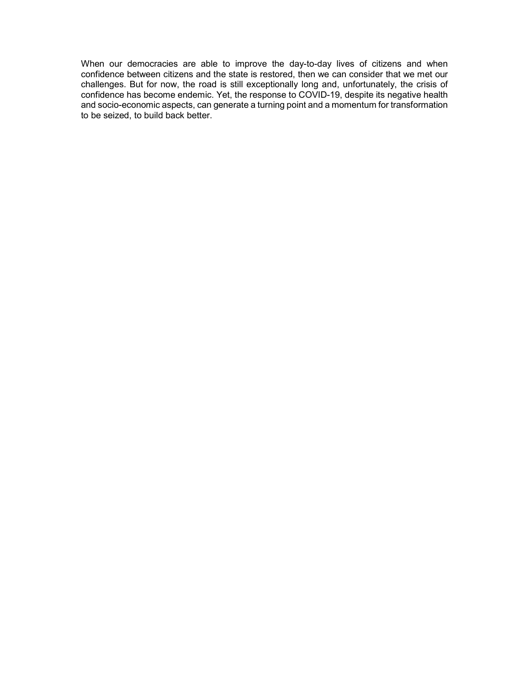When our democracies are able to improve the day-to-day lives of citizens and when confidence between citizens and the state is restored, then we can consider that we met our challenges. But for now, the road is still exceptionally long and, unfortunately, the crisis of confidence has become endemic. Yet, the response to COVID-19, despite its negative health and socio-economic aspects, can generate a turning point and a momentum for transformation to be seized, to build back better.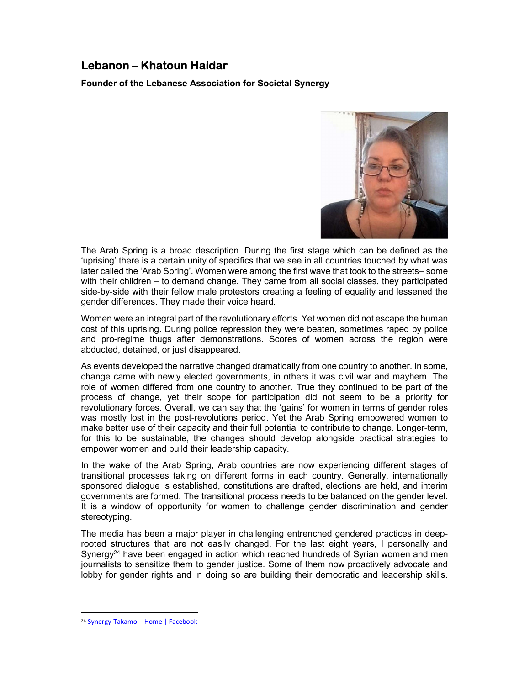# Lebanon – Khatoun Haidar

Founder of the Lebanese Association for Societal Synergy



The Arab Spring is a broad description. During the first stage which can be defined as the 'uprising' there is a certain unity of specifics that we see in all countries touched by what was later called the 'Arab Spring'. Women were among the first wave that took to the streets– some with their children – to demand change. They came from all social classes, they participated side-by-side with their fellow male protestors creating a feeling of equality and lessened the gender differences. They made their voice heard.

Women were an integral part of the revolutionary efforts. Yet women did not escape the human cost of this uprising. During police repression they were beaten, sometimes raped by police and pro-regime thugs after demonstrations. Scores of women across the region were abducted, detained, or just disappeared.

As events developed the narrative changed dramatically from one country to another. In some, change came with newly elected governments, in others it was civil war and mayhem. The role of women differed from one country to another. True they continued to be part of the process of change, yet their scope for participation did not seem to be a priority for revolutionary forces. Overall, we can say that the 'gains' for women in terms of gender roles was mostly lost in the post-revolutions period. Yet the Arab Spring empowered women to make better use of their capacity and their full potential to contribute to change. Longer-term, for this to be sustainable, the changes should develop alongside practical strategies to empower women and build their leadership capacity.

In the wake of the Arab Spring, Arab countries are now experiencing different stages of transitional processes taking on different forms in each country. Generally, internationally sponsored dialogue is established, constitutions are drafted, elections are held, and interim governments are formed. The transitional process needs to be balanced on the gender level. It is a window of opportunity for women to challenge gender discrimination and gender stereotyping.

The media has been a major player in challenging entrenched gendered practices in deeprooted structures that are not easily changed. For the last eight years, I personally and Synergy<sup>24</sup> have been engaged in action which reached hundreds of Syrian women and men journalists to sensitize them to gender justice. Some of them now proactively advocate and lobby for gender rights and in doing so are building their democratic and leadership skills.

<sup>24</sup> Synergy-Takamol - Home | Facebook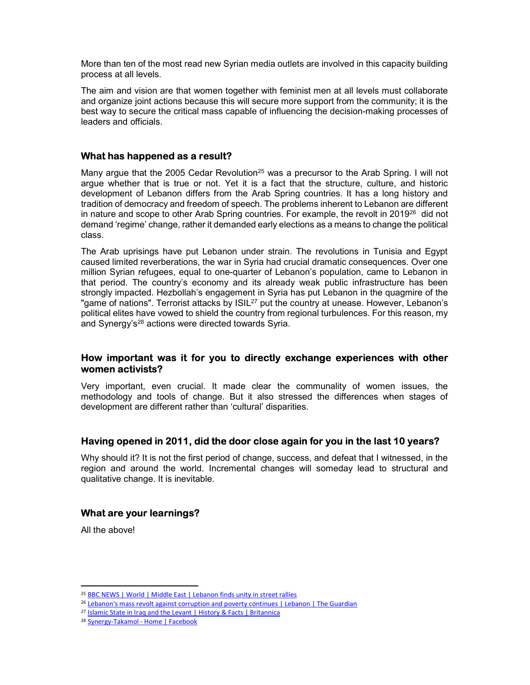More than ten of the most read new Syrian media outlets are involved in this capacity building process at all levels.

The aim and vision are that women together with feminist men at all levels must collaborate and organize joint actions because this will secure more support from the community; it is the best way to secure the critical mass capable of influencing the decision-making processes of leaders and officials.

#### What has happened as a result?

Many argue that the 2005 Cedar Revolution<sup>25</sup> was a precursor to the Arab Spring. I will not argue whether that is true or not. Yet it is a fact that the structure, culture, and historic development of Lebanon differs from the Arab Spring countries. It has a long history and tradition of democracy and freedom of speech. The problems inherent to Lebanon are different in nature and scope to other Arab Spring countries. For example, the revolt in  $2019^{26}$  did not demand 'regime' change, rather it demanded early elections as a means to change the political class.

The Arab uprisings have put Lebanon under strain. The revolutions in Tunisia and Egypt caused limited reverberations, the war in Syria had crucial dramatic consequences. Over one million Syrian refugees, equal to one-quarter of Lebanon's population, came to Lebanon in that period. The country's economy and its already weak public infrastructure has been strongly impacted. Hezbollah's engagement in Syria has put Lebanon in the quagmire of the "game of nations". Terrorist attacks by ISIL<sup>27</sup> put the country at unease. However, Lebanon's political elites have vowed to shield the country from regional turbulences. For this reason, my and Synergy's<sup>28</sup> actions were directed towards Syria.

#### How important was it for you to directly exchange experiences with other women activists?

Very important, even crucial. It made clear the communality of women issues, the methodology and tools of change. But it also stressed the differences when stages of development are different rather than 'cultural' disparities.

# Having opened in 2011, did the door close again for you in the last 10 years?

Why should it? It is not the first period of change, success, and defeat that I witnessed, in the region and around the world. Incremental changes will someday lead to structural and qualitative change. It is inevitable.

# What are your learnings?

All the above!

<sup>&</sup>lt;sup>25</sup> BBC NEWS | World | Middle East | Lebanon finds unity in street rallies

<sup>&</sup>lt;sup>26</sup> Lebanon's mass revolt against corruption and poverty continues | Lebanon | The Guardian

<sup>27</sup> Islamic State in Iraq and the Levant | History & Facts | Britannica

<sup>28</sup> Synergy-Takamol - Home | Facebook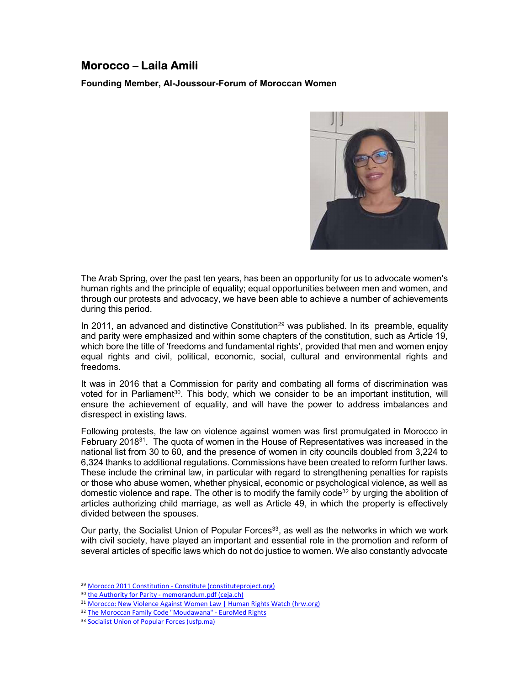# Morocco – Laila Amili

Founding Member, Al-Joussour-Forum of Moroccan Women



The Arab Spring, over the past ten years, has been an opportunity for us to advocate women's human rights and the principle of equality; equal opportunities between men and women, and through our protests and advocacy, we have been able to achieve a number of achievements during this period.

In 2011, an advanced and distinctive Constitution<sup>29</sup> was published. In its preamble, equality and parity were emphasized and within some chapters of the constitution, such as Article 19, which bore the title of 'freedoms and fundamental rights', provided that men and women enjoy equal rights and civil, political, economic, social, cultural and environmental rights and freedoms.

It was in 2016 that a Commission for parity and combating all forms of discrimination was voted for in Parliament<sup>30</sup>. This body, which we consider to be an important institution, will ensure the achievement of equality, and will have the power to address imbalances and disrespect in existing laws.

Following protests, the law on violence against women was first promulgated in Morocco in February 2018<sup>31</sup>. The quota of women in the House of Representatives was increased in the national list from 30 to 60, and the presence of women in city councils doubled from 3,224 to 6,324 thanks to additional regulations. Commissions have been created to reform further laws. These include the criminal law, in particular with regard to strengthening penalties for rapists or those who abuse women, whether physical, economic or psychological violence, as well as domestic violence and rape. The other is to modify the family code<sup>32</sup> by urging the abolition of articles authorizing child marriage, as well as Article 49, in which the property is effectively divided between the spouses.

Our party, the Socialist Union of Popular Forces<sup>33</sup>, as well as the networks in which we work with civil society, have played an important and essential role in the promotion and reform of several articles of specific laws which do not do justice to women. We also constantly advocate

<sup>29</sup> Morocco 2011 Constitution - Constitute (constituteproject.org)

<sup>30</sup> the Authority for Parity - memorandum.pdf (ceja.ch)

<sup>31</sup> Morocco: New Violence Against Women Law | Human Rights Watch (hrw.org)

<sup>32</sup> The Moroccan Family Code "Moudawana" - EuroMed Rights

<sup>33</sup> Socialist Union of Popular Forces (usfp.ma)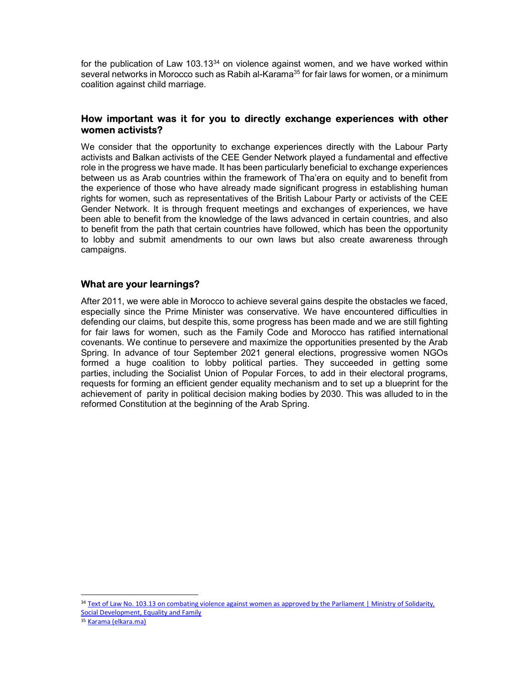for the publication of Law  $103.13^{34}$  on violence against women, and we have worked within several networks in Morocco such as Rabih al-Karama<sup>35</sup> for fair laws for women, or a minimum coalition against child marriage.

### How important was it for you to directly exchange experiences with other women activists?

We consider that the opportunity to exchange experiences directly with the Labour Party activists and Balkan activists of the CEE Gender Network played a fundamental and effective role in the progress we have made. It has been particularly beneficial to exchange experiences between us as Arab countries within the framework of Tha'era on equity and to benefit from the experience of those who have already made significant progress in establishing human rights for women, such as representatives of the British Labour Party or activists of the CEE Gender Network. It is through frequent meetings and exchanges of experiences, we have been able to benefit from the knowledge of the laws advanced in certain countries, and also to benefit from the path that certain countries have followed, which has been the opportunity to lobby and submit amendments to our own laws but also create awareness through campaigns.

# What are your learnings?

After 2011, we were able in Morocco to achieve several gains despite the obstacles we faced, especially since the Prime Minister was conservative. We have encountered difficulties in defending our claims, but despite this, some progress has been made and we are still fighting for fair laws for women, such as the Family Code and Morocco has ratified international covenants. We continue to persevere and maximize the opportunities presented by the Arab Spring. In advance of tour September 2021 general elections, progressive women NGOs formed a huge coalition to lobby political parties. They succeeded in getting some parties, including the Socialist Union of Popular Forces, to add in their electoral programs, requests for forming an efficient gender equality mechanism and to set up a blueprint for the achievement of parity in political decision making bodies by 2030. This was alluded to in the reformed Constitution at the beginning of the Arab Spring.

<sup>&</sup>lt;sup>34</sup> Text of Law No. 103.13 on combating violence against women as approved by the Parliament | Ministry of Solidarity, Social Development, Equality and Family

<sup>35</sup> Karama (elkara.ma)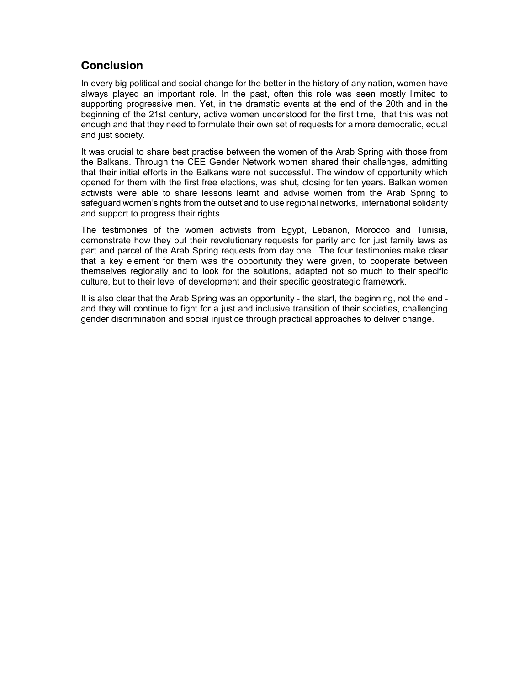# **Conclusion**

In every big political and social change for the better in the history of any nation, women have always played an important role. In the past, often this role was seen mostly limited to supporting progressive men. Yet, in the dramatic events at the end of the 20th and in the beginning of the 21st century, active women understood for the first time, that this was not enough and that they need to formulate their own set of requests for a more democratic, equal and just society.

It was crucial to share best practise between the women of the Arab Spring with those from the Balkans. Through the CEE Gender Network women shared their challenges, admitting that their initial efforts in the Balkans were not successful. The window of opportunity which opened for them with the first free elections, was shut, closing for ten years. Balkan women activists were able to share lessons learnt and advise women from the Arab Spring to safeguard women's rights from the outset and to use regional networks, international solidarity and support to progress their rights.

The testimonies of the women activists from Egypt, Lebanon, Morocco and Tunisia, demonstrate how they put their revolutionary requests for parity and for just family laws as part and parcel of the Arab Spring requests from day one. The four testimonies make clear that a key element for them was the opportunity they were given, to cooperate between themselves regionally and to look for the solutions, adapted not so much to their specific culture, but to their level of development and their specific geostrategic framework.

It is also clear that the Arab Spring was an opportunity - the start, the beginning, not the end and they will continue to fight for a just and inclusive transition of their societies, challenging gender discrimination and social injustice through practical approaches to deliver change.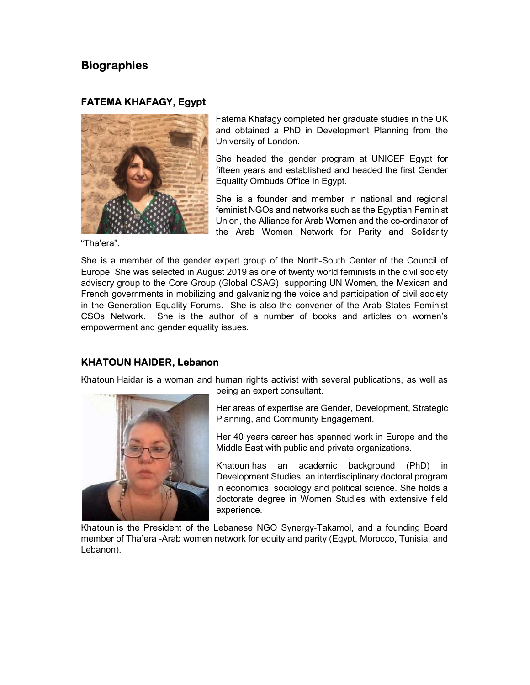# **Biographies**

# FATEMA KHAFAGY, Egypt



Fatema Khafagy completed her graduate studies in the UK and obtained a PhD in Development Planning from the University of London.

She headed the gender program at UNICEF Egypt for fifteen years and established and headed the first Gender Equality Ombuds Office in Egypt.

She is a founder and member in national and regional feminist NGOs and networks such as the Egyptian Feminist Union, the Alliance for Arab Women and the co-ordinator of the Arab Women Network for Parity and Solidarity

"Tha'era".

She is a member of the gender expert group of the North-South Center of the Council of Europe. She was selected in August 2019 as one of twenty world feminists in the civil society advisory group to the Core Group (Global CSAG) supporting UN Women, the Mexican and French governments in mobilizing and galvanizing the voice and participation of civil society in the Generation Equality Forums. She is also the convener of the Arab States Feminist CSOs Network. She is the author of a number of books and articles on women's empowerment and gender equality issues.

# KHATOUN HAIDER, Lebanon

Khatoun Haidar is a woman and human rights activist with several publications, as well as



being an expert consultant.

Her areas of expertise are Gender, Development, Strategic Planning, and Community Engagement.

Her 40 years career has spanned work in Europe and the Middle East with public and private organizations.

Khatoun has an academic background (PhD) in Development Studies, an interdisciplinary doctoral program in economics, sociology and political science. She holds a doctorate degree in Women Studies with extensive field experience.

Khatoun is the President of the Lebanese NGO Synergy-Takamol, and a founding Board member of Tha'era -Arab women network for equity and parity (Egypt, Morocco, Tunisia, and Lebanon).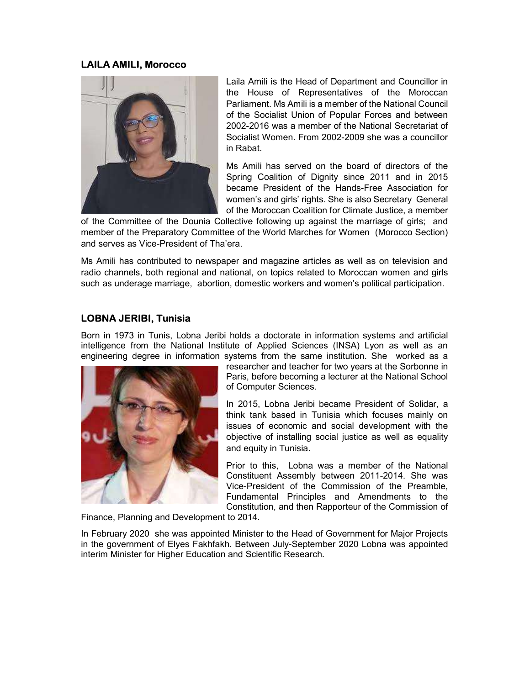#### LAILA AMILI, Morocco



Laila Amili is the Head of Department and Councillor in the House of Representatives of the Moroccan Parliament. Ms Amili is a member of the National Council of the Socialist Union of Popular Forces and between 2002-2016 was a member of the National Secretariat of Socialist Women. From 2002-2009 she was a councillor in Rabat.

Ms Amili has served on the board of directors of the Spring Coalition of Dignity since 2011 and in 2015 became President of the Hands-Free Association for women's and girls' rights. She is also Secretary General of the Moroccan Coalition for Climate Justice, a member

of the Committee of the Dounia Collective following up against the marriage of girls; and member of the Preparatory Committee of the World Marches for Women (Morocco Section) and serves as Vice-President of Tha'era.

Ms Amili has contributed to newspaper and magazine articles as well as on television and radio channels, both regional and national, on topics related to Moroccan women and girls such as underage marriage, abortion, domestic workers and women's political participation.

# LOBNA JERIBI, Tunisia

Born in 1973 in Tunis, Lobna Jeribi holds a doctorate in information systems and artificial intelligence from the National Institute of Applied Sciences (INSA) Lyon as well as an engineering degree in information systems from the same institution. She worked as a



researcher and teacher for two years at the Sorbonne in Paris, before becoming a lecturer at the National School of Computer Sciences.

In 2015, Lobna Jeribi became President of Solidar, a think tank based in Tunisia which focuses mainly on issues of economic and social development with the objective of installing social justice as well as equality and equity in Tunisia.

Prior to this, Lobna was a member of the National Constituent Assembly between 2011-2014. She was Vice-President of the Commission of the Preamble, Fundamental Principles and Amendments to the Constitution, and then Rapporteur of the Commission of

Finance, Planning and Development to 2014.

In February 2020 she was appointed Minister to the Head of Government for Major Projects in the government of Elyes Fakhfakh. Between July-September 2020 Lobna was appointed interim Minister for Higher Education and Scientific Research.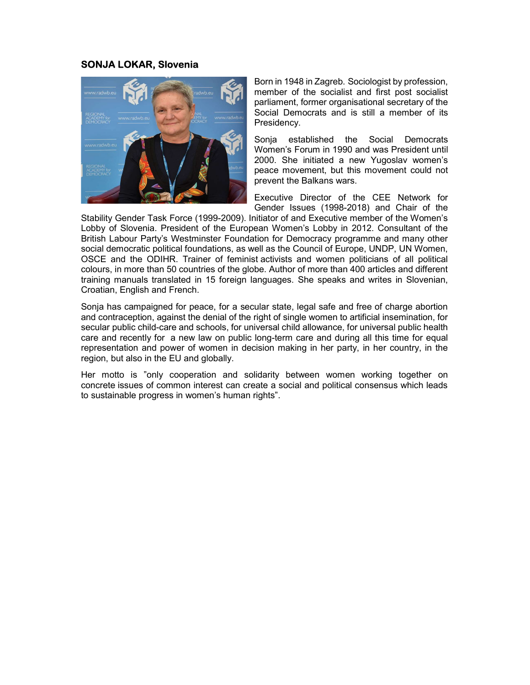#### SONJA LOKAR, Slovenia



Born in 1948 in Zagreb. Sociologist by profession, member of the socialist and first post socialist parliament, former organisational secretary of the Social Democrats and is still a member of its Presidency.

Sonia established the Social Democrats Women's Forum in 1990 and was President until 2000. She initiated a new Yugoslav women's peace movement, but this movement could not prevent the Balkans wars.

Executive Director of the CEE Network for Gender Issues (1998-2018) and Chair of the

Stability Gender Task Force (1999-2009). Initiator of and Executive member of the Women's Lobby of Slovenia. President of the European Women's Lobby in 2012. Consultant of the British Labour Party's Westminster Foundation for Democracy programme and many other social democratic political foundations, as well as the Council of Europe, UNDP, UN Women, OSCE and the ODIHR. Trainer of feminist activists and women politicians of all political colours, in more than 50 countries of the globe. Author of more than 400 articles and different training manuals translated in 15 foreign languages. She speaks and writes in Slovenian, Croatian, English and French.

Sonja has campaigned for peace, for a secular state, legal safe and free of charge abortion and contraception, against the denial of the right of single women to artificial insemination, for secular public child-care and schools, for universal child allowance, for universal public health care and recently for a new law on public long-term care and during all this time for equal representation and power of women in decision making in her party, in her country, in the region, but also in the EU and globally.

Her motto is "only cooperation and solidarity between women working together on concrete issues of common interest can create a social and political consensus which leads to sustainable progress in women's human rights".